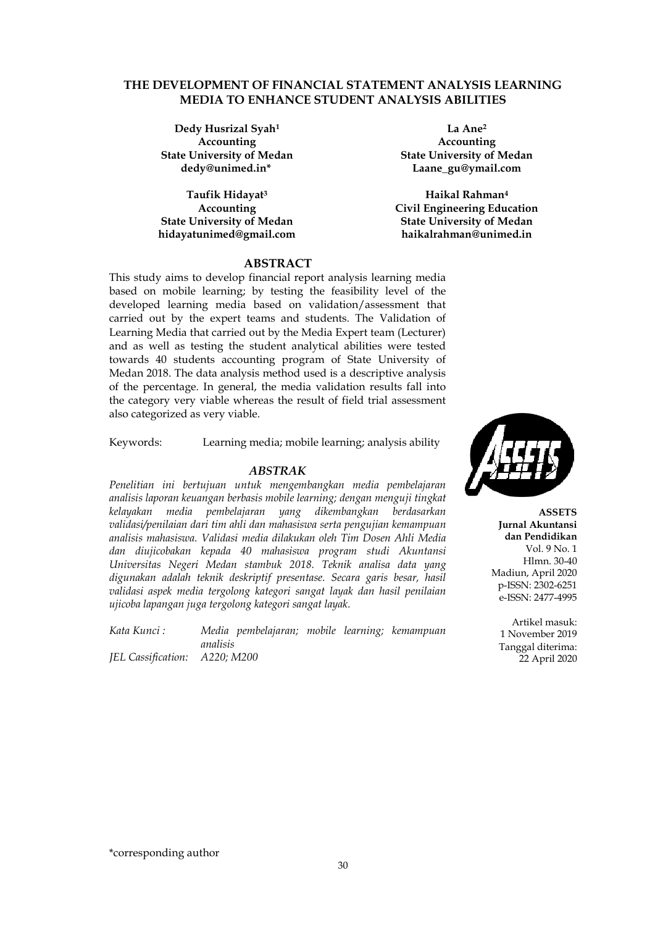### **THE DEVELOPMENT OF FINANCIAL STATEMENT ANALYSIS LEARNING MEDIA TO ENHANCE STUDENT ANALYSIS ABILITIES**

**Dedy Husrizal Syah<sup>1</sup> Accounting State University of Medan dedy@unimed.in\***

**Taufik Hidayat<sup>3</sup> Accounting State University of Medan hidayatunimed@gmail.com**

**La Ane<sup>2</sup> Accounting State University of Medan Laane\_gu@ymail.com**

**Haikal Rahman<sup>4</sup> Civil Engineering Education State University of Medan haikalrahman@unimed.in**

## **ABSTRACT**

This study aims to develop financial report analysis learning media based on mobile learning; by testing the feasibility level of the developed learning media based on validation/assessment that carried out by the expert teams and students. The Validation of Learning Media that carried out by the Media Expert team (Lecturer) and as well as testing the student analytical abilities were tested towards 40 students accounting program of State University of Medan 2018. The data analysis method used is a descriptive analysis of the percentage. In general, the media validation results fall into the category very viable whereas the result of field trial assessment also categorized as very viable.

Keywords: Learning media; mobile learning; analysis ability

#### *ABSTRAK*

*Penelitian ini bertujuan untuk mengembangkan media pembelajaran analisis laporan keuangan berbasis mobile learning; dengan menguji tingkat kelayakan media pembelajaran yang dikembangkan berdasarkan validasi/penilaian dari tim ahli dan mahasiswa serta pengujian kemampuan analisis mahasiswa. Validasi media dilakukan oleh Tim Dosen Ahli Media dan diujicobakan kepada 40 mahasiswa program studi Akuntansi Universitas Negeri Medan stambuk 2018. Teknik analisa data yang digunakan adalah teknik deskriptif presentase. Secara garis besar, hasil validasi aspek media tergolong kategori sangat layak dan hasil penilaian ujicoba lapangan juga tergolong kategori sangat layak.*

*Kata Kunci : Media pembelajaran; mobile learning; kemampuan analisis*

*JEL Cassification: A220; M200*



**ASSETS Jurnal Akuntansi dan Pendidikan** Vol. 9 No. 1 Hlmn. 30-40 Madiun, April 2020 p-ISSN: 2302-6251 e-ISSN: 2477-4995

Artikel masuk: 1 November 2019 Tanggal diterima: 22 April 2020

\*corresponding author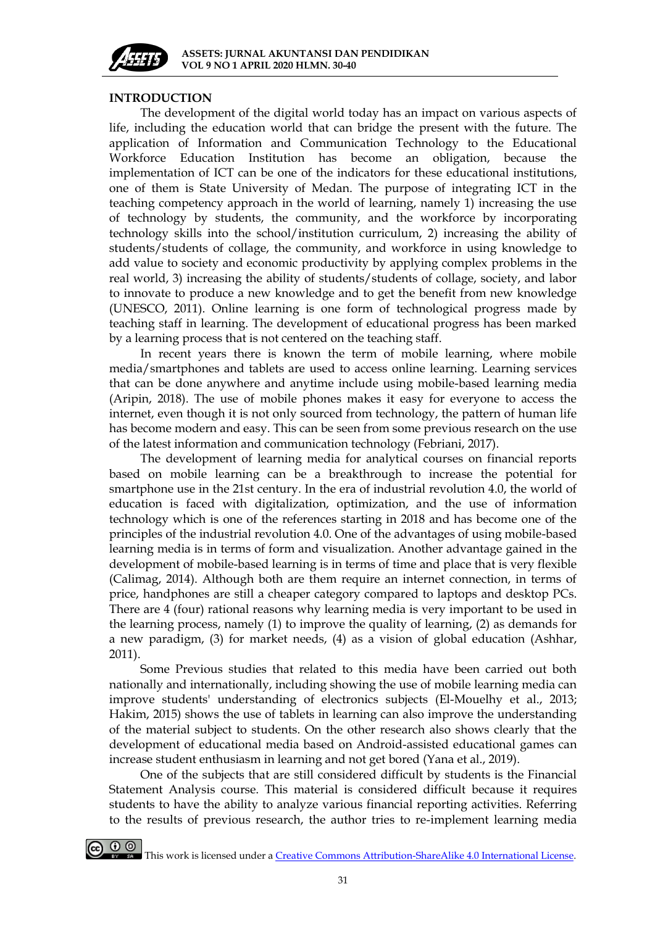

## **INTRODUCTION**

The development of the digital world today has an impact on various aspects of life, including the education world that can bridge the present with the future. The application of Information and Communication Technology to the Educational Workforce Education Institution has become an obligation, because the implementation of ICT can be one of the indicators for these educational institutions, one of them is State University of Medan. The purpose of integrating ICT in the teaching competency approach in the world of learning, namely 1) increasing the use of technology by students, the community, and the workforce by incorporating technology skills into the school/institution curriculum, 2) increasing the ability of students/students of collage, the community, and workforce in using knowledge to add value to society and economic productivity by applying complex problems in the real world, 3) increasing the ability of students/students of collage, society, and labor to innovate to produce a new knowledge and to get the benefit from new knowledge (UNESCO, 2011). Online learning is one form of technological progress made by teaching staff in learning. The development of educational progress has been marked by a learning process that is not centered on the teaching staff.

In recent years there is known the term of mobile learning, where mobile media/smartphones and tablets are used to access online learning. Learning services that can be done anywhere and anytime include using mobile-based learning media (Aripin, 2018). The use of mobile phones makes it easy for everyone to access the internet, even though it is not only sourced from technology, the pattern of human life has become modern and easy. This can be seen from some previous research on the use of the latest information and communication technology (Febriani, 2017).

The development of learning media for analytical courses on financial reports based on mobile learning can be a breakthrough to increase the potential for smartphone use in the 21st century. In the era of industrial revolution 4.0, the world of education is faced with digitalization, optimization, and the use of information technology which is one of the references starting in 2018 and has become one of the principles of the industrial revolution 4.0. One of the advantages of using mobile-based learning media is in terms of form and visualization. Another advantage gained in the development of mobile-based learning is in terms of time and place that is very flexible (Calimag, 2014). Although both are them require an internet connection, in terms of price, handphones are still a cheaper category compared to laptops and desktop PCs. There are 4 (four) rational reasons why learning media is very important to be used in the learning process, namely (1) to improve the quality of learning, (2) as demands for a new paradigm, (3) for market needs, (4) as a vision of global education (Ashhar, 2011).

Some Previous studies that related to this media have been carried out both nationally and internationally, including showing the use of mobile learning media can improve students' understanding of electronics subjects (El-Mouelhy et al., 2013; Hakim, 2015) shows the use of tablets in learning can also improve the understanding of the material subject to students. On the other research also shows clearly that the development of educational media based on Android-assisted educational games can increase student enthusiasm in learning and not get bored (Yana et al., 2019).

One of the subjects that are still considered difficult by students is the Financial Statement Analysis course. This material is considered difficult because it requires students to have the ability to analyze various financial reporting activities. Referring to the results of previous research, the author tries to re-implement learning media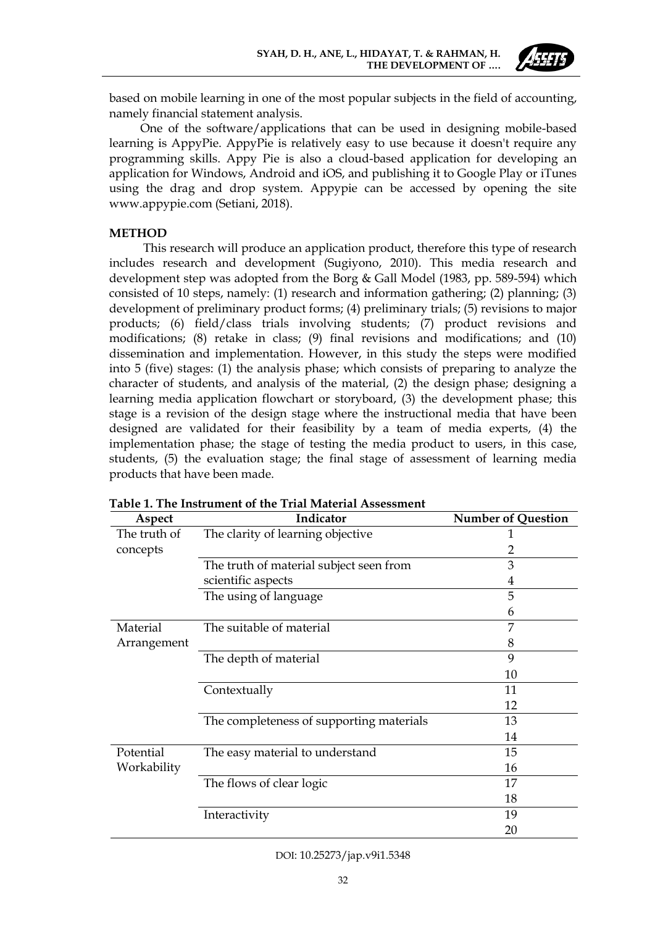

based on mobile learning in one of the most popular subjects in the field of accounting, namely financial statement analysis.

One of the software/applications that can be used in designing mobile-based learning is AppyPie. AppyPie is relatively easy to use because it doesn't require any programming skills. Appy Pie is also a cloud-based application for developing an application for Windows, Android and iOS, and publishing it to Google Play or iTunes using the drag and drop system. Appypie can be accessed by opening the site www.appypie.com (Setiani, 2018).

## **METHOD**

This research will produce an application product, therefore this type of research includes research and development (Sugiyono, 2010). This media research and development step was adopted from the Borg & Gall Model (1983, pp. 589-594) which consisted of 10 steps, namely: (1) research and information gathering; (2) planning; (3) development of preliminary product forms; (4) preliminary trials; (5) revisions to major products; (6) field/class trials involving students; (7) product revisions and modifications; (8) retake in class; (9) final revisions and modifications; and (10) dissemination and implementation. However, in this study the steps were modified into 5 (five) stages: (1) the analysis phase; which consists of preparing to analyze the character of students, and analysis of the material, (2) the design phase; designing a learning media application flowchart or storyboard, (3) the development phase; this stage is a revision of the design stage where the instructional media that have been designed are validated for their feasibility by a team of media experts, (4) the implementation phase; the stage of testing the media product to users, in this case, students, (5) the evaluation stage; the final stage of assessment of learning media products that have been made.

| Aspect       | Indicator                                | <b>Number of Question</b> |
|--------------|------------------------------------------|---------------------------|
| The truth of | The clarity of learning objective        | 1                         |
| concepts     |                                          | 2                         |
|              | The truth of material subject seen from  | 3                         |
|              | scientific aspects                       | 4                         |
|              | The using of language                    | 5                         |
|              |                                          | 6                         |
| Material     | The suitable of material                 | 7                         |
| Arrangement  |                                          | 8                         |
|              | The depth of material                    | 9                         |
|              |                                          | 10                        |
|              | Contextually                             | 11                        |
|              |                                          | 12                        |
|              | The completeness of supporting materials | 13                        |
|              |                                          | 14                        |
| Potential    | The easy material to understand          | 15                        |
| Workability  |                                          | 16                        |
|              | The flows of clear logic                 | 17                        |
|              |                                          | 18                        |
|              | Interactivity                            | 19                        |
|              |                                          | 20                        |

**Table 1. The Instrument of the Trial Material Assessment**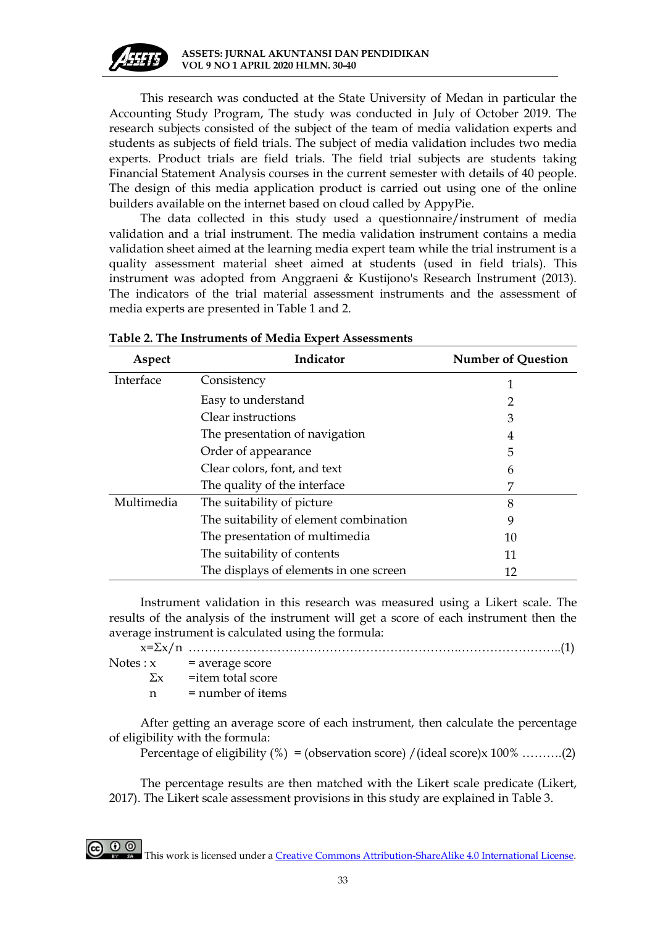

This research was conducted at the State University of Medan in particular the Accounting Study Program, The study was conducted in July of October 2019. The research subjects consisted of the subject of the team of media validation experts and students as subjects of field trials. The subject of media validation includes two media experts. Product trials are field trials. The field trial subjects are students taking Financial Statement Analysis courses in the current semester with details of 40 people. The design of this media application product is carried out using one of the online builders available on the internet based on cloud called by AppyPie.

The data collected in this study used a questionnaire/instrument of media validation and a trial instrument. The media validation instrument contains a media validation sheet aimed at the learning media expert team while the trial instrument is a quality assessment material sheet aimed at students (used in field trials). This instrument was adopted from Anggraeni & Kustijono's Research Instrument (2013). The indicators of the trial material assessment instruments and the assessment of media experts are presented in Table 1 and 2.

| Aspect     | Indicator                              | <b>Number of Question</b> |
|------------|----------------------------------------|---------------------------|
| Interface  | Consistency                            | 1                         |
|            | Easy to understand                     | 2                         |
|            | Clear instructions                     | 3                         |
|            | The presentation of navigation         | 4                         |
|            | Order of appearance                    | 5                         |
|            | Clear colors, font, and text           | 6                         |
|            | The quality of the interface           | 7                         |
| Multimedia | The suitability of picture             | 8                         |
|            | The suitability of element combination | 9                         |
|            | The presentation of multimedia         | 10                        |
|            | The suitability of contents            | 11                        |
|            | The displays of elements in one screen | 12                        |

| Table 2. The Instruments of Media Expert Assessments |
|------------------------------------------------------|
|------------------------------------------------------|

Instrument validation in this research was measured using a Likert scale. The results of the analysis of the instrument will get a score of each instrument then the average instrument is calculated using the formula:

x=Σx/n ………………………………………………………….……………………..(1)

| Notes: x | = average score               |
|----------|-------------------------------|
|          | $\Sigma x$ = item total score |
|          | $=$ number of items           |

After getting an average score of each instrument, then calculate the percentage of eligibility with the formula:

Percentage of eligibility  $(\%) =$  (observation score) /(ideal score)x 100% ……….(2)

The percentage results are then matched with the Likert scale predicate (Likert, 2017). The Likert scale assessment provisions in this study are explained in Table 3.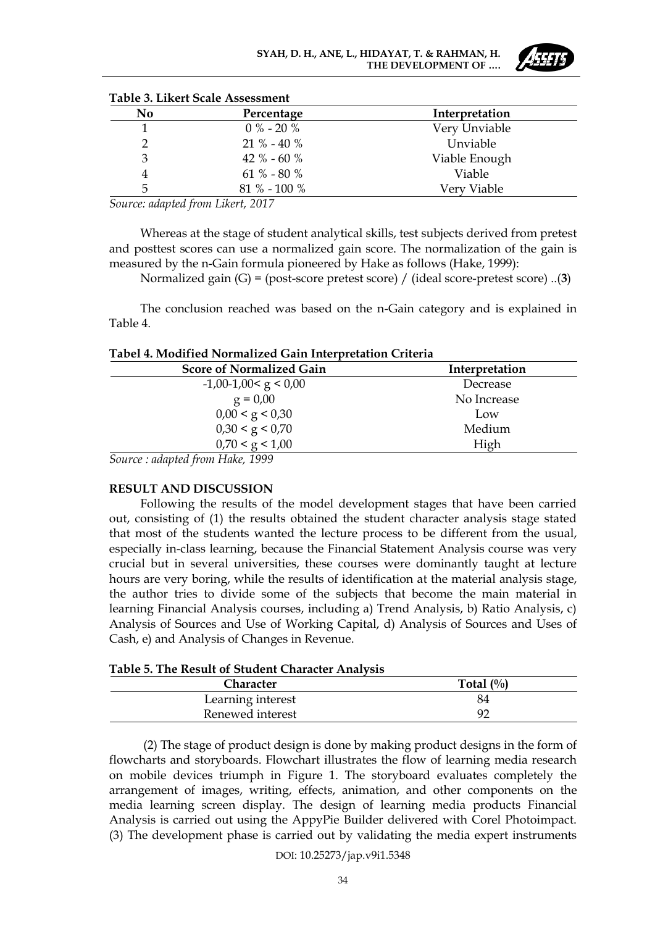| No | Percentage      | Interpretation |  |  |  |
|----|-----------------|----------------|--|--|--|
|    | $0\% - 20\%$    | Very Unviable  |  |  |  |
|    | $21 \% - 40 \%$ | Unviable       |  |  |  |
| 3  | 42 % - 60 %     | Viable Enough  |  |  |  |
|    | $61\% - 80\%$   | Viable         |  |  |  |
| 5  | $81\% - 100\%$  | Very Viable    |  |  |  |

|  |  |  | Table 3. Likert Scale Assessment |
|--|--|--|----------------------------------|
|--|--|--|----------------------------------|

*Source: adapted from Likert, 2017*

Whereas at the stage of student analytical skills, test subjects derived from pretest and posttest scores can use a normalized gain score. The normalization of the gain is measured by the n-Gain formula pioneered by Hake as follows (Hake, 1999):

Normalized gain (G) = (post-score pretest score) / (ideal score-pretest score) ..(**3**)

The conclusion reached was based on the n-Gain category and is explained in Table 4.

|  |  |  |  | Tabel 4. Modified Normalized Gain Interpretation Criteria |  |
|--|--|--|--|-----------------------------------------------------------|--|
|--|--|--|--|-----------------------------------------------------------|--|

| Interpretation |
|----------------|
| Decrease       |
| No Increase    |
| Low            |
| Medium         |
| High           |
|                |

*Source : adapted from Hake, 1999*

### **RESULT AND DISCUSSION**

Following the results of the model development stages that have been carried out, consisting of (1) the results obtained the student character analysis stage stated that most of the students wanted the lecture process to be different from the usual, especially in-class learning, because the Financial Statement Analysis course was very crucial but in several universities, these courses were dominantly taught at lecture hours are very boring, while the results of identification at the material analysis stage, the author tries to divide some of the subjects that become the main material in learning Financial Analysis courses, including a) Trend Analysis, b) Ratio Analysis, c) Analysis of Sources and Use of Working Capital, d) Analysis of Sources and Uses of Cash, e) and Analysis of Changes in Revenue.

### **Table 5. The Result of Student Character Analysis**

| Character         | Total $(\%)$ |
|-------------------|--------------|
| Learning interest | 84           |
| Renewed interest  |              |

(2) The stage of product design is done by making product designs in the form of flowcharts and storyboards. Flowchart illustrates the flow of learning media research on mobile devices triumph in Figure 1. The storyboard evaluates completely the arrangement of images, writing, effects, animation, and other components on the media learning screen display. The design of learning media products Financial Analysis is carried out using the AppyPie Builder delivered with Corel Photoimpact. (3) The development phase is carried out by validating the media expert instruments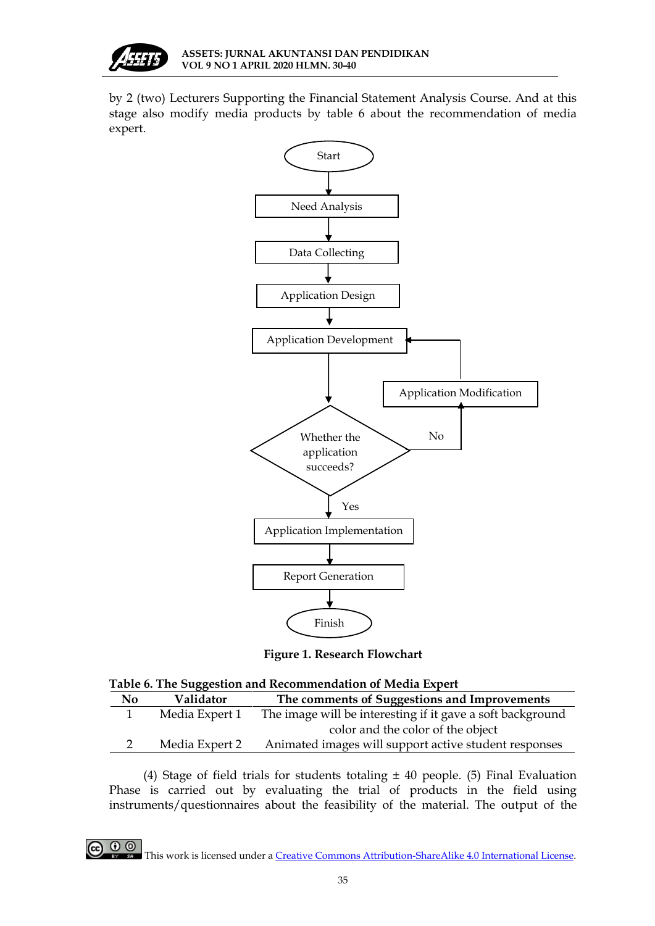

by 2 (two) Lecturers Supporting the Financial Statement Analysis Course. And at this stage also modify media products by table 6 about the recommendation of media expert.



**Figure 1. Research Flowchart**

|  |  | Table 6. The Suggestion and Recommendation of Media Expert |  |  |
|--|--|------------------------------------------------------------|--|--|
|  |  |                                                            |  |  |

| N <sub>0</sub> | Validator      | The comments of Suggestions and Improvements               |  |  |  |  |
|----------------|----------------|------------------------------------------------------------|--|--|--|--|
|                | Media Expert 1 | The image will be interesting if it gave a soft background |  |  |  |  |
|                |                | color and the color of the object                          |  |  |  |  |
|                | Media Expert 2 | Animated images will support active student responses      |  |  |  |  |
|                |                |                                                            |  |  |  |  |

(4) Stage of field trials for students totaling  $\pm$  40 people. (5) Final Evaluation Phase is carried out by evaluating the trial of products in the field using instruments/questionnaires about the feasibility of the material. The output of the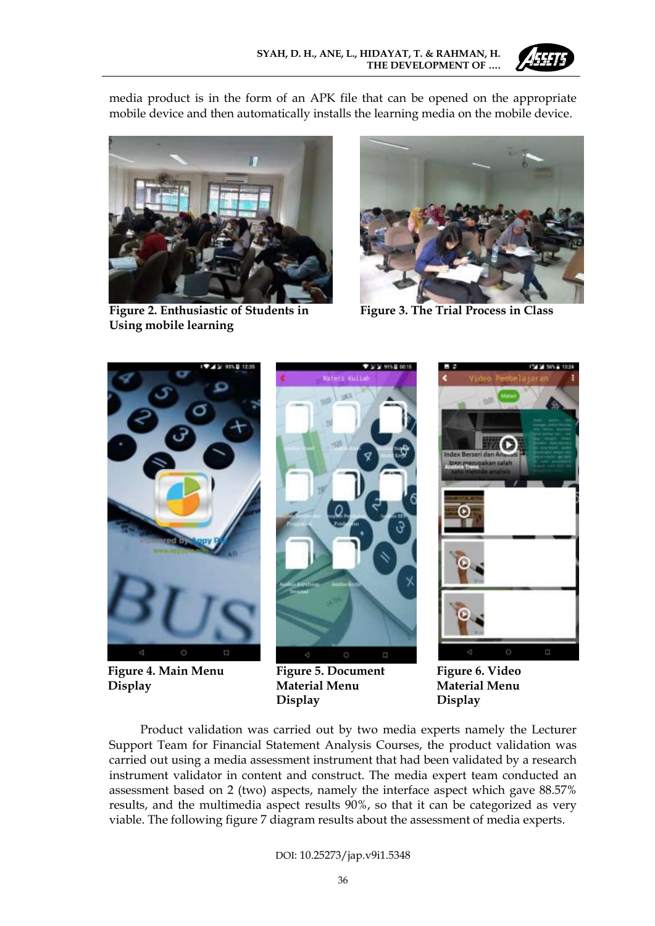

media product is in the form of an APK file that can be opened on the appropriate mobile device and then automatically installs the learning media on the mobile device.



**Figure 2. Enthusiastic of Students in Using mobile learning**



**Figure 3. The Trial Process in Class**



**Figure 4. Main Menu Display**



**Figure 5. Document Material Menu Display**



**Figure 6. Video Material Menu Display**

Product validation was carried out by two media experts namely the Lecturer Support Team for Financial Statement Analysis Courses, the product validation was carried out using a media assessment instrument that had been validated by a research instrument validator in content and construct. The media expert team conducted an assessment based on 2 (two) aspects, namely the interface aspect which gave 88.57% results, and the multimedia aspect results 90%, so that it can be categorized as very viable. The following figure 7 diagram results about the assessment of media experts.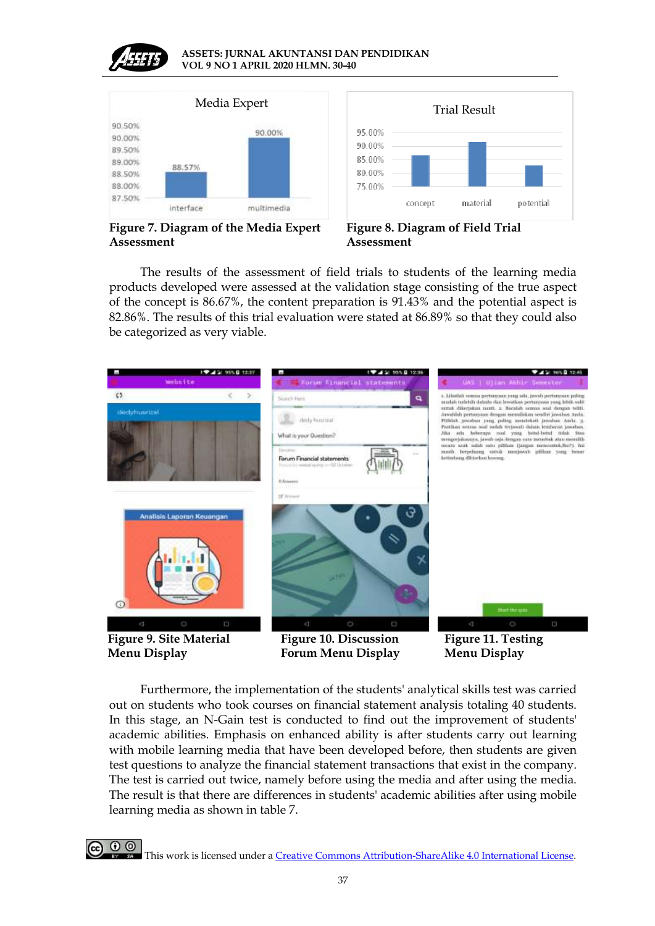

#### **ASSETS: JURNAL AKUNTANSI DAN PENDIDIKAN VOL 9 NO 1 APRIL 2020 HLMN. 30-40**





**Figure 7. Diagram of the Media Expert Assessment**



The results of the assessment of field trials to students of the learning media products developed were assessed at the validation stage consisting of the true aspect of the concept is 86.67%, the content preparation is 91.43% and the potential aspect is 82.86%. The results of this trial evaluation were stated at 86.89% so that they could also be categorized as very viable.



Furthermore, the implementation of the students' analytical skills test was carried out on students who took courses on financial statement analysis totaling 40 students. In this stage, an N-Gain test is conducted to find out the improvement of students' academic abilities. Emphasis on enhanced ability is after students carry out learning with mobile learning media that have been developed before, then students are given test questions to analyze the financial statement transactions that exist in the company. The test is carried out twice, namely before using the media and after using the media. The result is that there are differences in students' academic abilities after using mobile learning media as shown in table 7.

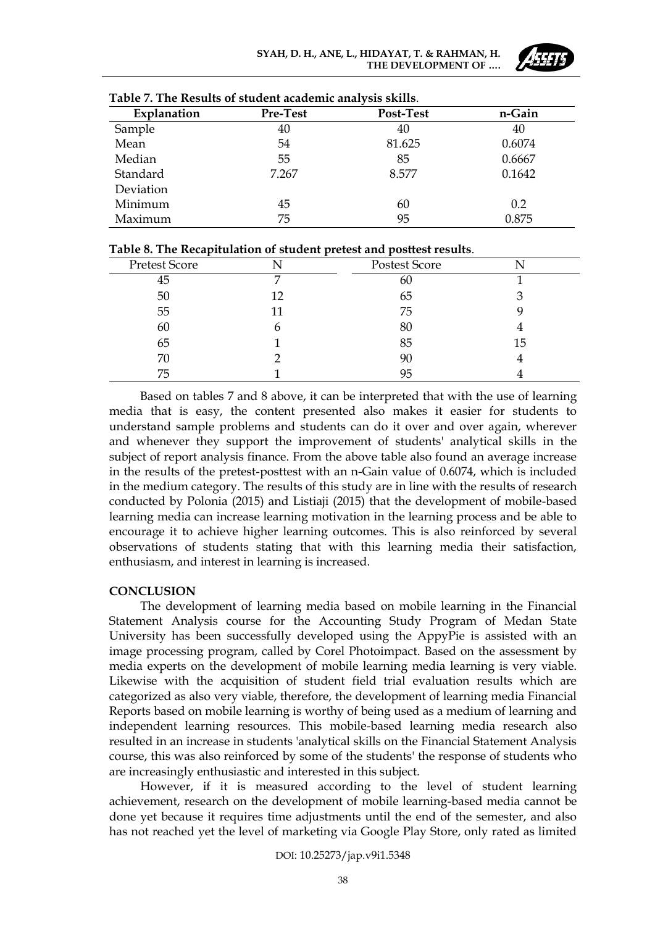

| Explanation | Pre-Test | <b>Post-Test</b> | n-Gain |
|-------------|----------|------------------|--------|
| Sample      | 40       | 40               | 40     |
| Mean        | 54       | 81.625           | 0.6074 |
| Median      | 55       | 85               | 0.6667 |
| Standard    | 7.267    | 8.577            | 0.1642 |
| Deviation   |          |                  |        |
| Minimum     | 45       | 60               | 0.2    |
| Maximum     | 75       | 95               | 0.875  |

| Table 8. The Recapitulation of student pretest and posttest results. |  |
|----------------------------------------------------------------------|--|
|----------------------------------------------------------------------|--|

| Pretest Score |    | Postest Score |    |  |
|---------------|----|---------------|----|--|
| 45            |    | 60            |    |  |
| 50            | 12 | 65            |    |  |
| 55            |    | 75            |    |  |
| 60            | h  | 80            |    |  |
| 65            |    | 85            | 15 |  |
| 70            |    | 90            |    |  |
| 75            |    | 95            |    |  |
|               |    |               |    |  |

Based on tables 7 and 8 above, it can be interpreted that with the use of learning media that is easy, the content presented also makes it easier for students to understand sample problems and students can do it over and over again, wherever and whenever they support the improvement of students' analytical skills in the subject of report analysis finance. From the above table also found an average increase in the results of the pretest-posttest with an n-Gain value of 0.6074, which is included in the medium category. The results of this study are in line with the results of research conducted by Polonia (2015) and Listiaji (2015) that the development of mobile-based learning media can increase learning motivation in the learning process and be able to encourage it to achieve higher learning outcomes. This is also reinforced by several observations of students stating that with this learning media their satisfaction, enthusiasm, and interest in learning is increased.

# **CONCLUSION**

The development of learning media based on mobile learning in the Financial Statement Analysis course for the Accounting Study Program of Medan State University has been successfully developed using the AppyPie is assisted with an image processing program, called by Corel Photoimpact. Based on the assessment by media experts on the development of mobile learning media learning is very viable. Likewise with the acquisition of student field trial evaluation results which are categorized as also very viable, therefore, the development of learning media Financial Reports based on mobile learning is worthy of being used as a medium of learning and independent learning resources. This mobile-based learning media research also resulted in an increase in students 'analytical skills on the Financial Statement Analysis course, this was also reinforced by some of the students' the response of students who are increasingly enthusiastic and interested in this subject.

However, if it is measured according to the level of student learning achievement, research on the development of mobile learning-based media cannot be done yet because it requires time adjustments until the end of the semester, and also has not reached yet the level of marketing via Google Play Store, only rated as limited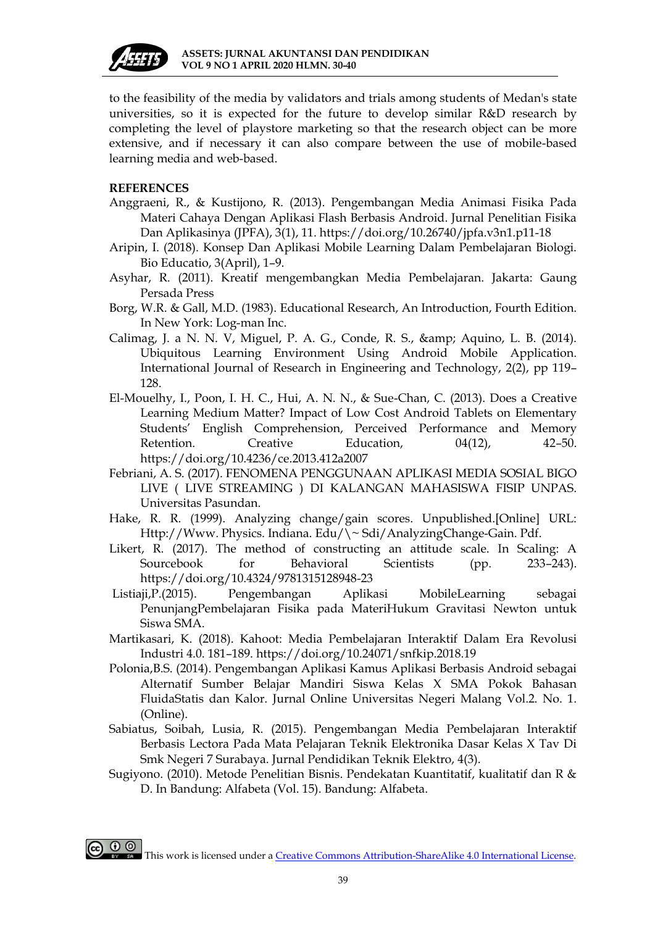

to the feasibility of the media by validators and trials among students of Medan's state universities, so it is expected for the future to develop similar R&D research by completing the level of playstore marketing so that the research object can be more extensive, and if necessary it can also compare between the use of mobile-based learning media and web-based.

## **REFERENCES**

- Anggraeni, R., & Kustijono, R. (2013). Pengembangan Media Animasi Fisika Pada Materi Cahaya Dengan Aplikasi Flash Berbasis Android. Jurnal Penelitian Fisika Dan Aplikasinya (JPFA), 3(1), 11. https://doi.org/10.26740/jpfa.v3n1.p11-18
- Aripin, I. (2018). Konsep Dan Aplikasi Mobile Learning Dalam Pembelajaran Biologi. Bio Educatio, 3(April), 1–9.
- Asyhar, R. (2011). Kreatif mengembangkan Media Pembelajaran. Jakarta: Gaung Persada Press
- Borg, W.R. & Gall, M.D. (1983). Educational Research, An Introduction, Fourth Edition. In New York: Log-man Inc.
- Calimag, J. a N. N. V, Miguel, P. A. G., Conde, R. S., & amp; Aquino, L. B. (2014). Ubiquitous Learning Environment Using Android Mobile Application. International Journal of Research in Engineering and Technology, 2(2), pp 119– 128.
- El-Mouelhy, I., Poon, I. H. C., Hui, A. N. N., & Sue-Chan, C. (2013). Does a Creative Learning Medium Matter? Impact of Low Cost Android Tablets on Elementary Students' English Comprehension, Perceived Performance and Memory Retention. Creative Education, 04(12), 42–50. https://doi.org/10.4236/ce.2013.412a2007
- Febriani, A. S. (2017). FENOMENA PENGGUNAAN APLIKASI MEDIA SOSIAL BIGO LIVE ( LIVE STREAMING ) DI KALANGAN MAHASISWA FISIP UNPAS. Universitas Pasundan.
- Hake, R. R. (1999). Analyzing change/gain scores. Unpublished.[Online] URL: Http://Www. Physics. Indiana. Edu/\~ Sdi/AnalyzingChange-Gain. Pdf.
- Likert, R. (2017). The method of constructing an attitude scale. In Scaling: A Sourcebook for Behavioral Scientists (pp. 233–243). https://doi.org/10.4324/9781315128948-23
- Listiaji,P.(2015). Pengembangan Aplikasi MobileLearning sebagai PenunjangPembelajaran Fisika pada MateriHukum Gravitasi Newton untuk Siswa SMA.
- Martikasari, K. (2018). Kahoot: Media Pembelajaran Interaktif Dalam Era Revolusi Industri 4.0. 181–189. https://doi.org/10.24071/snfkip.2018.19
- Polonia,B.S. (2014). Pengembangan Aplikasi Kamus Aplikasi Berbasis Android sebagai Alternatif Sumber Belajar Mandiri Siswa Kelas X SMA Pokok Bahasan FluidaStatis dan Kalor. Jurnal Online Universitas Negeri Malang Vol.2. No. 1. (Online).
- Sabiatus, Soibah, Lusia, R. (2015). Pengembangan Media Pembelajaran Interaktif Berbasis Lectora Pada Mata Pelajaran Teknik Elektronika Dasar Kelas X Tav Di Smk Negeri 7 Surabaya. Jurnal Pendidikan Teknik Elektro, 4(3).
- Sugiyono. (2010). Metode Penelitian Bisnis. Pendekatan Kuantitatif, kualitatif dan R & D. In Bandung: Alfabeta (Vol. 15). Bandung: Alfabeta.

**CO**  $\bigodot$   $\bigodot$  This work is licensed under a <u>Creative Commons Attribution-ShareAlike 4.0 International License</u>.